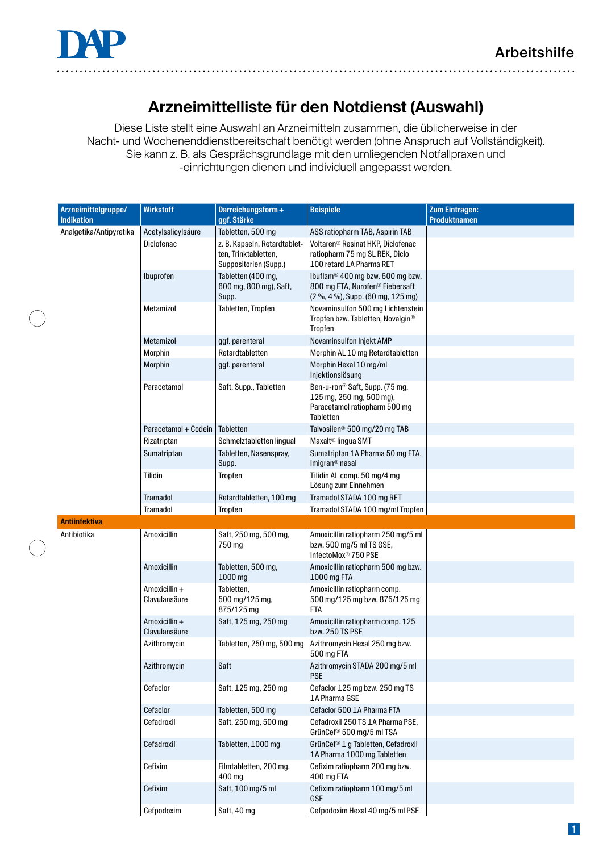

. . . . . . . . . . .

<u>. . . . . . . . . . . . .</u>

# **Arzneimittelliste für den Notdienst (Auswahl)**

Diese Liste stellt eine Auswahl an Arzneimitteln zusammen, die üblicherweise in der Nacht- und Wochenenddienstbereitschaft benötigt werden (ohne Anspruch auf Vollständigkeit). Sie kann z. B. als Gesprächsgrundlage mit den umliegenden Notfallpraxen und -einrichtungen dienen und individuell angepasst werden.

|  | Arzneimittelgruppe/<br><b>Indikation</b> | <b>Wirkstoff</b>               | Darreichungsform+<br>ggf. Stärke                                              | <b>Beispiele</b>                                                                                                                 | <b>Zum Eintragen:</b><br><b>Produktnamen</b> |
|--|------------------------------------------|--------------------------------|-------------------------------------------------------------------------------|----------------------------------------------------------------------------------------------------------------------------------|----------------------------------------------|
|  | Analgetika/Antipyretika                  | Acetylsalicylsäure             | Tabletten, 500 mg                                                             | ASS ratiopharm TAB, Aspirin TAB                                                                                                  |                                              |
|  |                                          | Diclofenac                     | z. B. Kapseln, Retardtablet-<br>ten, Trinktabletten,<br>Suppositorien (Supp.) | Voltaren® Resinat HKP, Diclofenac<br>ratiopharm 75 mg SL REK, Diclo<br>100 retard 1A Pharma RET                                  |                                              |
|  |                                          | Ibuprofen                      | Tabletten (400 mg,<br>600 mg, 800 mg), Saft,<br>Supp.                         | lbuflam <sup>®</sup> 400 mg bzw. 600 mg bzw.<br>800 mg FTA, Nurofen <sup>®</sup> Fiebersaft<br>(2 %, 4 %), Supp. (60 mg, 125 mg) |                                              |
|  |                                          | Metamizol                      | Tabletten, Tropfen                                                            | Novaminsulfon 500 mg Lichtenstein<br>Tropfen bzw. Tabletten, Novalgin <sup>®</sup><br>Tropfen                                    |                                              |
|  |                                          | Metamizol                      | ggf. parenteral                                                               | Novaminsulfon Injekt AMP                                                                                                         |                                              |
|  |                                          | Morphin                        | Retardtabletten                                                               | Morphin AL 10 mg Retardtabletten                                                                                                 |                                              |
|  |                                          | Morphin                        | ggf. parenteral                                                               | Morphin Hexal 10 mg/ml<br>Injektionslösung                                                                                       |                                              |
|  |                                          | Paracetamol                    | Saft, Supp., Tabletten                                                        | Ben-u-ron <sup>®</sup> Saft, Supp. (75 mg,<br>125 mg, 250 mg, 500 mg),<br>Paracetamol ratiopharm 500 mg<br>Tabletten             |                                              |
|  |                                          | Paracetamol + Codein           | Tabletten                                                                     | Talvosilen <sup>®</sup> 500 mg/20 mg TAB                                                                                         |                                              |
|  |                                          | Rizatriptan                    | Schmelztabletten lingual                                                      | Maxalt <sup>®</sup> lingua SMT                                                                                                   |                                              |
|  |                                          | Sumatriptan                    | Tabletten, Nasenspray,<br>Supp.                                               | Sumatriptan 1A Pharma 50 mg FTA,<br>Imigran <sup>®</sup> nasal                                                                   |                                              |
|  |                                          | Tilidin                        | Tropfen                                                                       | Tilidin AL comp. 50 mg/4 mg<br>Lösung zum Einnehmen                                                                              |                                              |
|  |                                          | <b>Tramadol</b>                | Retardtabletten, 100 mg                                                       | Tramadol STADA 100 mg RET                                                                                                        |                                              |
|  |                                          | Tramadol                       | Tropfen                                                                       | Tramadol STADA 100 mg/ml Tropfen                                                                                                 |                                              |
|  | <b>Antiinfektiva</b>                     |                                |                                                                               |                                                                                                                                  |                                              |
|  | Antibiotika                              | Amoxicillin                    | Saft, 250 mg, 500 mg,<br>750 mg                                               | Amoxicillin ratiopharm 250 mg/5 ml<br>bzw. 500 mg/5 ml TS GSE,<br>InfectoMox <sup>®</sup> 750 PSE                                |                                              |
|  |                                          | Amoxicillin                    | Tabletten, 500 mg,<br>1000 mg                                                 | Amoxicillin ratiopharm 500 mg bzw.<br>1000 mg FTA                                                                                |                                              |
|  |                                          | Amoxicillin +<br>Clavulansäure | Tabletten,<br>500 mg/125 mg,<br>875/125 mg                                    | Amoxicillin ratiopharm comp.<br>500 mg/125 mg bzw. 875/125 mg<br>FTA                                                             |                                              |
|  |                                          | Amoxicillin +<br>Clavulansäure | Saft, 125 mg, 250 mg                                                          | Amoxicillin ratiopharm comp. 125<br>bzw. 250 TS PSE                                                                              |                                              |
|  |                                          | Azithromycin                   | Tabletten, 250 mg, 500 mg                                                     | Azithromycin Hexal 250 mg bzw.<br>500 mg FTA                                                                                     |                                              |
|  |                                          | Azithromycin                   | Saft                                                                          | Azithromycin STADA 200 mg/5 ml<br><b>PSE</b>                                                                                     |                                              |
|  |                                          | Cefaclor                       | Saft, 125 mg, 250 mg                                                          | Cefaclor 125 mg bzw. 250 mg TS<br>1A Pharma GSE                                                                                  |                                              |
|  |                                          | Cefaclor                       | Tabletten, 500 mg                                                             | Cefaclor 500 1A Pharma FTA                                                                                                       |                                              |
|  |                                          | Cefadroxil                     | Saft, 250 mg, 500 mg                                                          | Cefadroxil 250 TS 1A Pharma PSE,<br>GrünCef® 500 mg/5 ml TSA                                                                     |                                              |
|  |                                          | Cefadroxil                     | Tabletten, 1000 mg                                                            | GrünCef <sup>®</sup> 1 g Tabletten, Cefadroxil<br>1A Pharma 1000 mg Tabletten                                                    |                                              |
|  |                                          | Cefixim                        | Filmtabletten, 200 mg,<br>400 mg                                              | Cefixim ratiopharm 200 mg bzw.<br>400 mg FTA                                                                                     |                                              |
|  |                                          | Cefixim                        | Saft, 100 mg/5 ml                                                             | Cefixim ratiopharm 100 mg/5 ml<br>GSE                                                                                            |                                              |
|  |                                          | Cefpodoxim                     | Saft, 40 mg                                                                   | Cefpodoxim Hexal 40 mg/5 ml PSE                                                                                                  |                                              |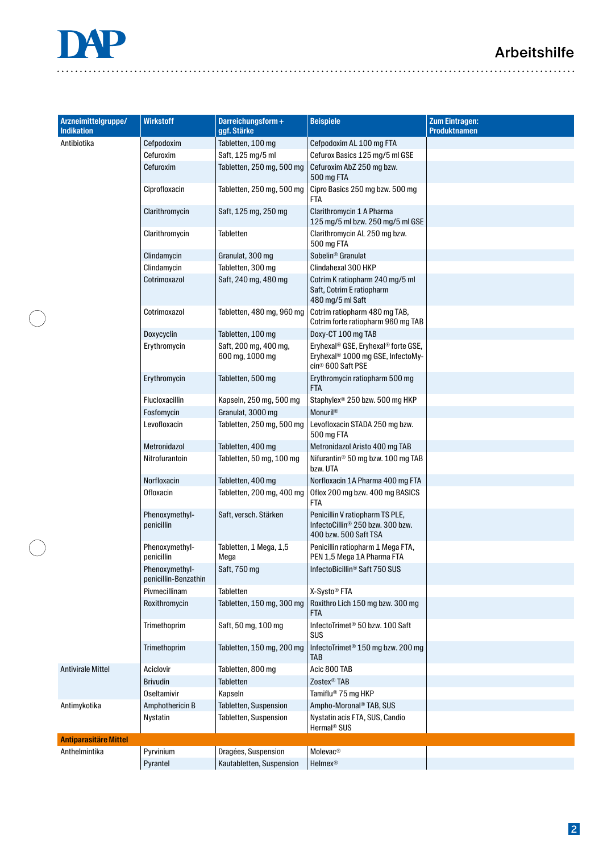## Arbeitshilfe



 $\ddot{\phantom{a}}$ 

 $\bigcap$ 

| Arzneimittelgruppe/<br><b>Indikation</b> | <b>Wirkstoff</b>                       | Darreichungsform+<br>ggf. Stärke               | <b>Beispiele</b>                                                                                          | <b>Zum Eintragen:</b><br><b>Produktnamen</b> |
|------------------------------------------|----------------------------------------|------------------------------------------------|-----------------------------------------------------------------------------------------------------------|----------------------------------------------|
| Antibiotika                              | Cefpodoxim                             | Tabletten, 100 mg                              | Cefpodoxim AL 100 mg FTA                                                                                  |                                              |
|                                          | Cefuroxim                              | Saft, 125 mg/5 ml                              | Cefurox Basics 125 mg/5 ml GSE                                                                            |                                              |
|                                          | Cefuroxim                              | Tabletten, 250 mg, 500 mg                      | Cefuroxim AbZ 250 mg bzw.<br>500 mg FTA                                                                   |                                              |
|                                          | Ciprofloxacin                          | Tabletten, 250 mg, 500 mg                      | Cipro Basics 250 mg bzw. 500 mg<br>FTA                                                                    |                                              |
|                                          | Clarithromycin                         | Saft, 125 mg, 250 mg                           | Clarithromycin 1 A Pharma<br>125 mg/5 ml bzw. 250 mg/5 ml GSE                                             |                                              |
|                                          | Clarithromycin                         | Tabletten                                      | Clarithromycin AL 250 mg bzw.<br>500 mg FTA                                                               |                                              |
|                                          | Clindamycin                            | Granulat, 300 mg                               | Sobelin <sup>®</sup> Granulat                                                                             |                                              |
|                                          | Clindamycin                            | Tabletten, 300 mg                              | Clindahexal 300 HKP                                                                                       |                                              |
|                                          | Cotrimoxazol                           | Saft, 240 mg, 480 mg                           | Cotrim K ratiopharm 240 mg/5 ml<br>Saft, Cotrim E ratiopharm<br>480 mg/5 ml Saft                          |                                              |
|                                          | Cotrimoxazol                           | Tabletten, 480 mg, 960 mg                      | Cotrim ratiopharm 480 mg TAB,<br>Cotrim forte ratiopharm 960 mg TAB                                       |                                              |
|                                          | Doxycyclin                             | Tabletten, 100 mg                              | Doxy-CT 100 mg TAB                                                                                        |                                              |
|                                          | Erythromycin                           | Saft, 200 mg, 400 mg,<br>600 mg, 1000 mg       | Eryhexal® GSE, Eryhexal® forte GSE,<br>Eryhexal® 1000 mg GSE, InfectoMy-<br>cin <sup>®</sup> 600 Saft PSE |                                              |
|                                          | Erythromycin                           | Tabletten, 500 mg                              | Erythromycin ratiopharm 500 mg<br><b>FTA</b>                                                              |                                              |
|                                          | Flucloxacillin                         | Kapseln, 250 mg, 500 mg                        | Staphylex <sup>®</sup> 250 bzw. 500 mg HKP                                                                |                                              |
|                                          | Fosfomycin                             | Granulat, 3000 mg                              | Monuril <sup>®</sup>                                                                                      |                                              |
|                                          | Levofloxacin                           | Tabletten, 250 mg, 500 mg                      | Levofloxacin STADA 250 mg bzw.<br>500 mg FTA                                                              |                                              |
|                                          | Metronidazol                           | Tabletten, 400 mg                              | Metronidazol Aristo 400 mg TAB                                                                            |                                              |
|                                          | Nitrofurantoin                         | Tabletten, 50 mg, 100 mg                       | Nifurantin® 50 mg bzw. 100 mg TAB<br>bzw. UTA                                                             |                                              |
|                                          | Norfloxacin                            | Tabletten, 400 mg                              | Norfloxacin 1A Pharma 400 mg FTA                                                                          |                                              |
|                                          | Ofloxacin                              | Tabletten, 200 mg, 400 mg                      | Oflox 200 mg bzw. 400 mg BASICS<br>FTA                                                                    |                                              |
|                                          | Phenoxymethyl-<br>penicillin           | Saft, versch. Stärken                          | Penicillin V ratiopharm TS PLE,<br>InfectoCillin® 250 bzw. 300 bzw.<br>400 bzw. 500 Saft TSA              |                                              |
|                                          | Phenoxymethyl-<br>penicillin           | Tabletten, 1 Mega, 1,5<br>Mega                 | Penicillin ratiopharm 1 Mega FTA,<br>PEN 1,5 Mega 1A Pharma FTA                                           |                                              |
|                                          | Phenoxymethyl-<br>penicillin-Benzathin | Saft, 750 mg                                   | InfectoBicillin <sup>®</sup> Saft 750 SUS                                                                 |                                              |
|                                          | Pivmecillinam                          | Tabletten                                      | X-Systo® FTA                                                                                              |                                              |
|                                          | Roxithromycin                          | Tabletten, 150 mg, 300 mg                      | Roxithro Lich 150 mg bzw. 300 mg<br>FTA                                                                   |                                              |
|                                          | Trimethoprim                           | Saft, 50 mg, 100 mg                            | InfectoTrimet <sup>®</sup> 50 bzw. 100 Saft<br>SUS                                                        |                                              |
|                                          | Trimethoprim                           | Tabletten, 150 mg, 200 mg                      | InfectoTrimet <sup>®</sup> 150 mg bzw. 200 mg<br>TAB                                                      |                                              |
| <b>Antivirale Mittel</b>                 | Aciclovir                              | Tabletten, 800 mg                              | Acic 800 TAB                                                                                              |                                              |
|                                          | <b>Brivudin</b>                        | Tabletten                                      | Zostex <sup>®</sup> TAB                                                                                   |                                              |
|                                          | <b>Oseltamivir</b>                     | Kapseln                                        | Tamiflu <sup>®</sup> 75 mg HKP                                                                            |                                              |
| Antimykotika                             | Amphothericin B<br>Nystatin            | Tabletten, Suspension<br>Tabletten, Suspension | Ampho-Moronal <sup>®</sup> TAB, SUS<br>Nystatin acis FTA, SUS, Candio<br>Hermal <sup>®</sup> SUS          |                                              |
| <b>Antiparasitäre Mittel</b>             |                                        |                                                |                                                                                                           |                                              |
| Anthelmintika                            | Pyrvinium                              | Dragées, Suspension                            | Molevac <sup>®</sup>                                                                                      |                                              |
|                                          | Pyrantel                               | Kautabletten, Suspension                       | <b>Helmex®</b>                                                                                            |                                              |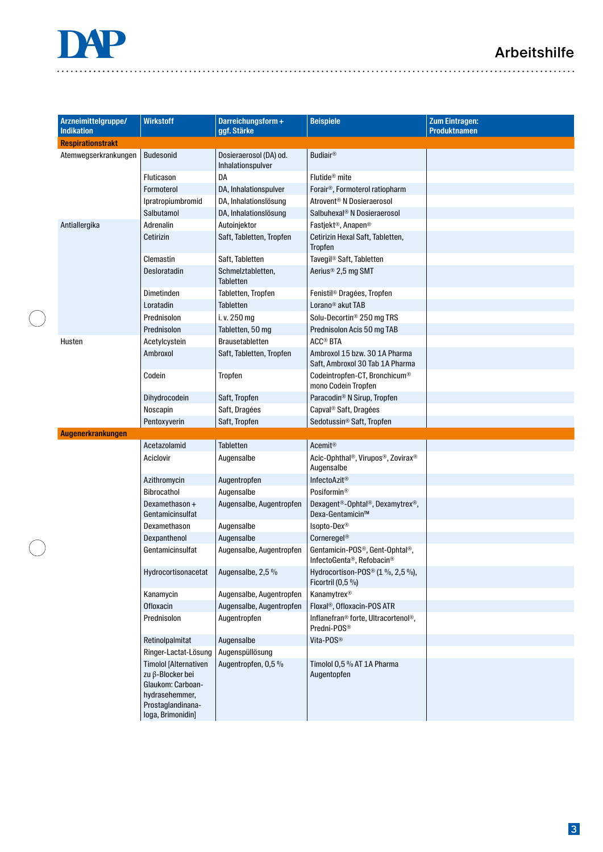# Arbeitshilfe



 $\ddot{\phantom{a}}$ 

 $\bigcap$ 

| Arzneimittelgruppe/<br><b>Indikation</b> | <b>Wirkstoff</b>                                                                                                                  | Darreichungsform+<br>ggf. Stärke            | <b>Beispiele</b>                                                                           | <b>Zum Eintragen:</b><br><b>Produktnamen</b> |
|------------------------------------------|-----------------------------------------------------------------------------------------------------------------------------------|---------------------------------------------|--------------------------------------------------------------------------------------------|----------------------------------------------|
| <b>Respirationstrakt</b>                 |                                                                                                                                   |                                             |                                                                                            |                                              |
| Atemwegserkrankungen                     | <b>Budesonid</b>                                                                                                                  | Dosieraerosol (DA) od.<br>Inhalationspulver | <b>Budiair®</b>                                                                            |                                              |
|                                          | Fluticason                                                                                                                        | DA                                          | Flutide <sup>®</sup> mite                                                                  |                                              |
|                                          | Formoterol                                                                                                                        | DA, Inhalationspulver                       | Forair <sup>®</sup> , Formoterol ratiopharm                                                |                                              |
|                                          | Ipratropiumbromid                                                                                                                 | DA, Inhalationslösung                       | Atrovent <sup>®</sup> N Dosieraerosol                                                      |                                              |
|                                          | Salbutamol                                                                                                                        | DA, Inhalationslösung                       | Salbuhexal <sup>®</sup> N Dosieraerosol                                                    |                                              |
| Antiallergika                            | Adrenalin                                                                                                                         | Autoinjektor                                | Fastjekt <sup>®</sup> , Anapen <sup>®</sup>                                                |                                              |
|                                          | Cetirizin                                                                                                                         | Saft, Tabletten, Tropfen                    | Cetirizin Hexal Saft, Tabletten,<br>Tropfen                                                |                                              |
|                                          | Clemastin                                                                                                                         | Saft, Tabletten                             | Tavegil <sup>®</sup> Saft, Tabletten                                                       |                                              |
|                                          | Desloratadin                                                                                                                      | Schmelztabletten,<br><b>Tabletten</b>       | Aerius <sup>®</sup> 2,5 mg SMT                                                             |                                              |
|                                          | Dimetinden                                                                                                                        | Tabletten, Tropfen                          | Fenistil <sup>®</sup> Dragées, Tropfen                                                     |                                              |
|                                          | Loratadin                                                                                                                         | <b>Tabletten</b>                            | Lorano <sup>®</sup> akut TAB                                                               |                                              |
|                                          | Prednisolon                                                                                                                       | i. v. 250 mg                                | Solu-Decortin <sup>®</sup> 250 mg TRS                                                      |                                              |
|                                          | Prednisolon                                                                                                                       | Tabletten, 50 mg                            | Prednisolon Acis 50 mg TAB                                                                 |                                              |
| Husten                                   | Acetylcystein                                                                                                                     | Brausetabletten                             | <b>ACC® BTA</b>                                                                            |                                              |
|                                          | Ambroxol                                                                                                                          | Saft, Tabletten, Tropfen                    | Ambroxol 15 bzw. 30 1A Pharma<br>Saft, Ambroxol 30 Tab 1A Pharma                           |                                              |
|                                          | Codein                                                                                                                            | Tropfen                                     | Codeintropfen-CT, Bronchicum®<br>mono Codein Tropfen                                       |                                              |
|                                          | Dihydrocodein                                                                                                                     | Saft, Tropfen                               | Paracodin <sup>®</sup> N Sirup, Tropfen                                                    |                                              |
|                                          | Noscapin                                                                                                                          | Saft, Dragées                               | Capval <sup>®</sup> Saft, Dragées                                                          |                                              |
|                                          | Pentoxyverin                                                                                                                      | Saft, Tropfen                               | Sedotussin® Saft, Tropfen                                                                  |                                              |
| Augenerkrankungen                        |                                                                                                                                   |                                             |                                                                                            |                                              |
|                                          | Acetazolamid                                                                                                                      | <b>Tabletten</b>                            | <b>Acemit®</b>                                                                             |                                              |
|                                          | Aciclovir                                                                                                                         | Augensalbe                                  | Acic-Ophthal®, Virupos®, Zovirax®<br>Augensalbe                                            |                                              |
|                                          | Azithromycin                                                                                                                      | Augentropfen                                | InfectoAzit <sup>®</sup>                                                                   |                                              |
|                                          | Bibrocathol                                                                                                                       | Augensalbe                                  | Posiformin <sup>®</sup>                                                                    |                                              |
|                                          | Dexamethason +<br>Gentamicinsulfat                                                                                                | Augensalbe, Augentropfen                    | Dexagent <sup>®</sup> -Ophtal <sup>®</sup> , Dexamytrex <sup>®</sup> ,<br>Dexa-Gentamicin™ |                                              |
|                                          | Dexamethason                                                                                                                      | Augensalbe                                  | Isopto-Dex®                                                                                |                                              |
|                                          | Dexpanthenol                                                                                                                      | Augensalbe                                  | Corneregel <sup>®</sup>                                                                    |                                              |
|                                          | Gentamicinsulfat                                                                                                                  | Augensalbe, Augentropfen                    | Gentamicin-POS <sup>®</sup> , Gent-Ophtal <sup>®</sup> ,<br>InfectoGenta®, Refobacin®      |                                              |
|                                          | Hydrocortisonacetat                                                                                                               | Augensalbe, 2,5%                            | Hydrocortison-POS <sup>®</sup> (1 %, 2,5 %),<br>Ficortril $(0,5\%)$                        |                                              |
|                                          | Kanamycin                                                                                                                         | Augensalbe, Augentropfen                    | Kanamytrex®                                                                                |                                              |
|                                          | Ofloxacin                                                                                                                         | Augensalbe, Augentropfen                    | Floxal®, Ofloxacin-POS ATR                                                                 |                                              |
|                                          | Prednisolon                                                                                                                       | Augentropfen                                | Inflanefran® forte, Ultracortenol®,<br>Predni-POS <sup>®</sup>                             |                                              |
|                                          | Retinolpalmitat                                                                                                                   | Augensalbe                                  | Vita-POS <sup>®</sup>                                                                      |                                              |
|                                          | Ringer-Lactat-Lösung                                                                                                              | Augenspüllösung                             |                                                                                            |                                              |
|                                          | <b>Timolol [Alternativen</b><br>zu β-Blocker bei<br>Glaukom: Carboan-<br>hydrasehemmer,<br>Prostaglandinana-<br>loga, Brimonidin] | Augentropfen, 0,5 %                         | Timolol 0,5 % AT 1A Pharma<br>Augentopfen                                                  |                                              |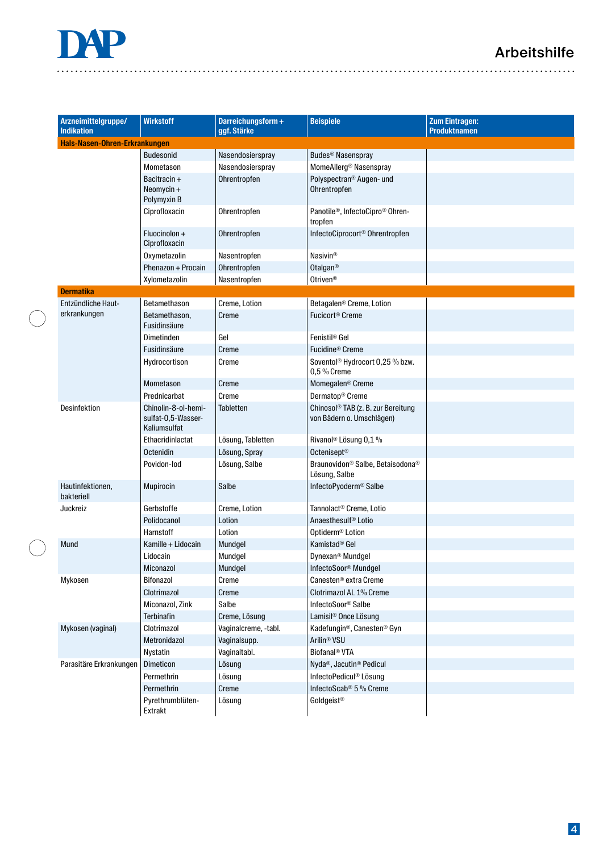

 $\ddot{\phantom{a}}$ 

 $\bigcap$ 

| Arzneimittelgruppe/<br><b>Indikation</b> | <b>Wirkstoff</b>                                          | Darreichungsform+<br>ggf. Stärke | <b>Beispiele</b>                                                            | <b>Zum Eintragen:</b><br><b>Produktnamen</b> |  |  |
|------------------------------------------|-----------------------------------------------------------|----------------------------------|-----------------------------------------------------------------------------|----------------------------------------------|--|--|
| Hals-Nasen-Ohren-Erkrankungen            |                                                           |                                  |                                                                             |                                              |  |  |
|                                          | <b>Budesonid</b>                                          | Nasendosierspray                 | Budes <sup>®</sup> Nasenspray                                               |                                              |  |  |
|                                          | Mometason                                                 | Nasendosierspray                 | MomeAllerg <sup>®</sup> Nasenspray                                          |                                              |  |  |
|                                          | Bacitracin +<br>Neomycin +<br>Polymyxin B                 | Ohrentropfen                     | Polyspectran <sup>®</sup> Augen- und<br>Ohrentropfen                        |                                              |  |  |
|                                          | Ciprofloxacin                                             | Ohrentropfen                     | Panotile <sup>®</sup> , InfectoCipro <sup>®</sup> Ohren-<br>tropfen         |                                              |  |  |
|                                          | Fluocinolon +<br>Ciprofloxacin                            | Ohrentropfen                     | InfectoCiprocort <sup>®</sup> Ohrentropfen                                  |                                              |  |  |
|                                          | Oxymetazolin                                              | Nasentropfen                     | <b>Nasivin®</b>                                                             |                                              |  |  |
|                                          | Phenazon + Procain                                        | Ohrentropfen                     | Otalgan <sup>®</sup>                                                        |                                              |  |  |
|                                          | Xylometazolin                                             | Nasentropfen                     | Otriven <sup>®</sup>                                                        |                                              |  |  |
| <b>Dermatika</b>                         |                                                           |                                  |                                                                             |                                              |  |  |
| <b>Entzündliche Haut-</b>                | Betamethason                                              | Creme, Lotion                    | Betagalen <sup>®</sup> Creme, Lotion                                        |                                              |  |  |
| erkrankungen                             | Betamethason,<br>Fusidinsäure                             | Creme                            | Fucicort® Creme                                                             |                                              |  |  |
|                                          | Dimetinden                                                | Gel                              | Fenistil <sup>®</sup> Gel                                                   |                                              |  |  |
|                                          | Fusidinsäure                                              | Creme                            | Fucidine <sup>®</sup> Creme                                                 |                                              |  |  |
|                                          | Hydrocortison                                             | Creme                            | Soventol® Hydrocort 0,25 % bzw.<br>0,5 % Creme                              |                                              |  |  |
|                                          | Mometason                                                 | Creme                            | Momegalen <sup>®</sup> Creme                                                |                                              |  |  |
|                                          | Prednicarbat                                              | Creme                            | Dermatop <sup>®</sup> Creme                                                 |                                              |  |  |
| Desinfektion                             | Chinolin-8-ol-hemi-<br>sulfat-0,5-Wasser-<br>Kaliumsulfat | <b>Tabletten</b>                 | Chinosol <sup>®</sup> TAB (z. B. zur Bereitung<br>von Bädern o. Umschlägen) |                                              |  |  |
|                                          | Ethacridinlactat                                          | Lösung, Tabletten                | Rivanol <sup>®</sup> Lösung 0,1 %                                           |                                              |  |  |
|                                          | Octenidin                                                 | Lösung, Spray                    | Octenisept <sup>®</sup>                                                     |                                              |  |  |
|                                          | Povidon-lod                                               | Lösung, Salbe                    | Braunovidon <sup>®</sup> Salbe, Betaisodona®<br>Lösung, Salbe               |                                              |  |  |
| Hautinfektionen,<br>bakteriell           | <b>Mupirocin</b>                                          | Salbe                            | InfectoPyoderm® Salbe                                                       |                                              |  |  |
| Juckreiz                                 | Gerbstoffe                                                | Creme, Lotion                    | Tannolact <sup>®</sup> Creme, Lotio                                         |                                              |  |  |
|                                          | Polidocanol                                               | Lotion                           | Anaesthesulf <sup>®</sup> Lotio                                             |                                              |  |  |
|                                          | Harnstoff                                                 | Lotion                           | Optiderm <sup>®</sup> Lotion                                                |                                              |  |  |
| Mund                                     | Kamille + Lidocain                                        | Mundgel                          | Kamistad <sup>®</sup> Gel                                                   |                                              |  |  |
|                                          | Lidocain                                                  | Mundgel                          | Dynexan <sup>®</sup> Mundgel                                                |                                              |  |  |
|                                          | Miconazol                                                 | Mundgel                          | InfectoSoor <sup>®</sup> Mundgel                                            |                                              |  |  |
| Mykosen                                  | Bifonazol                                                 | Creme                            | Canesten <sup>®</sup> extra Creme                                           |                                              |  |  |
|                                          | Clotrimazol                                               | Creme                            | Clotrimazol AL 1% Creme                                                     |                                              |  |  |
|                                          | Miconazol, Zink                                           | Salbe                            | InfectoSoor <sup>®</sup> Salbe                                              |                                              |  |  |
|                                          | <b>Terbinafin</b>                                         | Creme, Lösung                    | Lamisil <sup>®</sup> Once Lösung                                            |                                              |  |  |
| Mykosen (vaginal)                        | Clotrimazol                                               | Vaginalcreme, -tabl.             | Kadefungin <sup>®</sup> , Canesten® Gyn                                     |                                              |  |  |
|                                          | Metronidazol                                              | Vaginalsupp.                     | Arilin <sup>®</sup> VSU                                                     |                                              |  |  |
|                                          | Nystatin                                                  | Vaginaltabl.                     | Biofanal <sup>®</sup> VTA                                                   |                                              |  |  |
| Parasitäre Erkrankungen                  | <b>Dimeticon</b>                                          | Lösung                           | Nyda <sup>®</sup> , Jacutin <sup>®</sup> Pedicul                            |                                              |  |  |
|                                          | Permethrin                                                | Lösung                           | InfectoPedicul® Lösung                                                      |                                              |  |  |
|                                          | Permethrin                                                | Creme                            | InfectoScab <sup>®</sup> 5 % Creme                                          |                                              |  |  |
|                                          | Pyrethrumblüten-<br>Extrakt                               | Lösung                           | Goldgeist®                                                                  |                                              |  |  |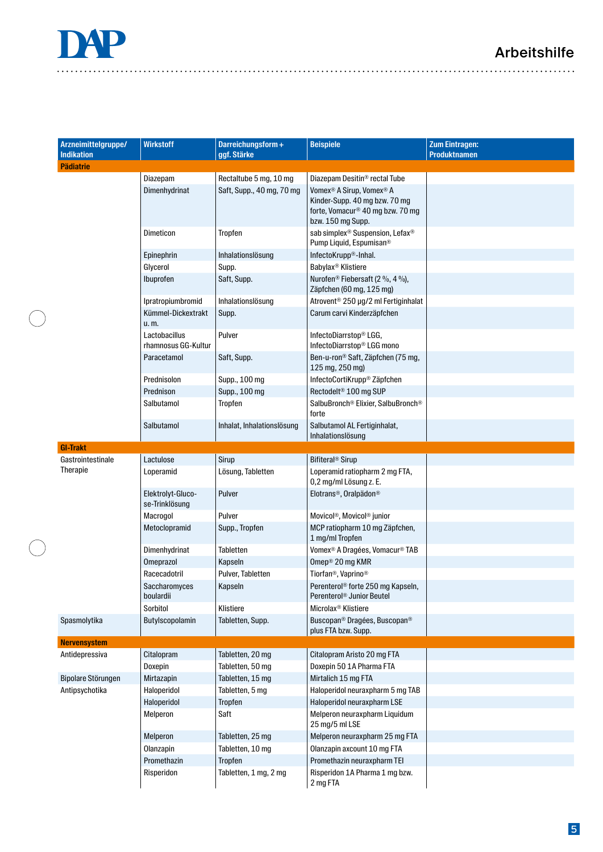| Arzneimittelgruppe/<br><b>Indikation</b> | <b>Wirkstoff</b>                     | Darreichungsform+<br>ggf. Stärke | <b>Beispiele</b>                                                                                                                           | <b>Zum Eintragen:</b><br><b>Produktnamen</b> |
|------------------------------------------|--------------------------------------|----------------------------------|--------------------------------------------------------------------------------------------------------------------------------------------|----------------------------------------------|
| <b>Pädiatrie</b>                         |                                      |                                  |                                                                                                                                            |                                              |
|                                          | Diazepam                             | Rectaltube 5 mg, 10 mg           | Diazepam Desitin <sup>®</sup> rectal Tube                                                                                                  |                                              |
|                                          | Dimenhydrinat                        | Saft, Supp., 40 mg, 70 mg        | Vomex <sup>®</sup> A Sirup, Vomex <sup>®</sup> A<br>Kinder-Supp. 40 mg bzw. 70 mg<br>forte, Vomacur® 40 mg bzw. 70 mg<br>bzw. 150 mg Supp. |                                              |
|                                          | Dimeticon                            | Tropfen                          | sab simplex <sup>®</sup> Suspension, Lefax <sup>®</sup><br>Pump Liquid, Espumisan <sup>®</sup>                                             |                                              |
|                                          | Epinephrin                           | Inhalationslösung                | InfectoKrupp <sup>®</sup> -Inhal.                                                                                                          |                                              |
|                                          | Glycerol                             | Supp.                            | Babylax <sup>®</sup> Klistiere                                                                                                             |                                              |
|                                          | Ibuprofen                            | Saft, Supp.                      | Nurofen <sup>®</sup> Fiebersaft (2 %, 4 %),<br>Zäpfchen (60 mg, 125 mg)                                                                    |                                              |
|                                          | Ipratropiumbromid                    | Inhalationslösung                | Atrovent <sup>®</sup> 250 µg/2 ml Fertiginhalat                                                                                            |                                              |
|                                          | Kümmel-Dickextrakt<br>u.m.           | Supp.                            | Carum carvi Kinderzäpfchen                                                                                                                 |                                              |
|                                          | Lactobacillus<br>rhamnosus GG-Kultur | Pulver                           | InfectoDiarrstop® LGG,<br>InfectoDiarrstop® LGG mono                                                                                       |                                              |
|                                          | Paracetamol                          | Saft, Supp.                      | Ben-u-ron® Saft, Zäpfchen (75 mg,<br>125 mg, 250 mg)                                                                                       |                                              |
|                                          | Prednisolon                          | Supp., 100 mg                    | InfectoCortiKrupp® Zäpfchen                                                                                                                |                                              |
|                                          | Prednison                            | Supp., 100 mg                    | Rectodelt <sup>®</sup> 100 mg SUP                                                                                                          |                                              |
|                                          | Salbutamol                           | Tropfen                          | SalbuBronch® Elixier, SalbuBronch®<br>forte                                                                                                |                                              |
|                                          | Salbutamol                           | Inhalat, Inhalationslösung       | Salbutamol AL Fertiginhalat,<br>Inhalationslösung                                                                                          |                                              |
| <b>GI-Trakt</b>                          |                                      |                                  |                                                                                                                                            |                                              |
| Gastrointestinale                        | Lactulose                            | Sirup                            | Bifiteral <sup>®</sup> Sirup                                                                                                               |                                              |
| Therapie                                 | Loperamid                            | Lösung, Tabletten                | Loperamid ratiopharm 2 mg FTA,<br>0,2 mg/ml Lösung z. E.                                                                                   |                                              |
|                                          | Elektrolyt-Gluco-<br>se-Trinklösung  | Pulver                           | Elotrans <sup>®</sup> , Oralpädon®                                                                                                         |                                              |
|                                          | Macrogol                             | Pulver                           | Movicol®, Movicol® junior                                                                                                                  |                                              |
|                                          | Metoclopramid                        | Supp., Tropfen                   | MCP ratiopharm 10 mg Zäpfchen,<br>1 mg/ml Tropfen                                                                                          |                                              |
|                                          | Dimenhydrinat                        | <b>Tabletten</b>                 | Vomex <sup>®</sup> A Dragées, Vomacur <sup>®</sup> TAB                                                                                     |                                              |
|                                          | Omeprazol                            | Kapseln                          | Omep <sup>®</sup> 20 mg KMR                                                                                                                |                                              |
|                                          | Racecadotril                         | Pulver, Tabletten                | Tiorfan®, Vaprino®                                                                                                                         |                                              |
|                                          | Saccharomyces<br>boulardii           | Kapseln                          | Perenterol <sup>®</sup> forte 250 mg Kapseln,<br>Perenterol® Junior Beutel                                                                 |                                              |
|                                          | Sorbitol                             | Klistiere                        | Microlax <sup>®</sup> Klistiere                                                                                                            |                                              |
| Spasmolytika                             | Butylscopolamin                      | Tabletten, Supp.                 | Buscopan® Dragées, Buscopan®<br>plus FTA bzw. Supp.                                                                                        |                                              |
| <b>Nervensystem</b>                      |                                      |                                  |                                                                                                                                            |                                              |
| Antidepressiva                           | Citalopram                           | Tabletten, 20 mg                 | Citalopram Aristo 20 mg FTA                                                                                                                |                                              |
|                                          | Doxepin                              | Tabletten, 50 mg                 | Doxepin 50 1A Pharma FTA                                                                                                                   |                                              |
| Bipolare Störungen                       | Mirtazapin                           | Tabletten, 15 mg                 | Mirtalich 15 mg FTA                                                                                                                        |                                              |
| Antipsychotika                           | Haloperidol                          | Tabletten, 5 mg                  | Haloperidol neuraxpharm 5 mg TAB                                                                                                           |                                              |
|                                          | Haloperidol                          | Tropfen                          | Haloperidol neuraxpharm LSE                                                                                                                |                                              |
|                                          | Melperon                             | Saft                             | Melperon neuraxpharm Liquidum<br>25 mg/5 ml LSE                                                                                            |                                              |
|                                          | Melperon                             | Tabletten, 25 mg                 | Melperon neuraxpharm 25 mg FTA                                                                                                             |                                              |
|                                          | Olanzapin                            | Tabletten, 10 mg                 | Olanzapin axcount 10 mg FTA                                                                                                                |                                              |
|                                          | Promethazin                          | Tropfen                          | Promethazin neuraxpharm TEI                                                                                                                |                                              |
|                                          | Risperidon                           | Tabletten, 1 mg, 2 mg            | Risperidon 1A Pharma 1 mg bzw.<br>2 mg FTA                                                                                                 |                                              |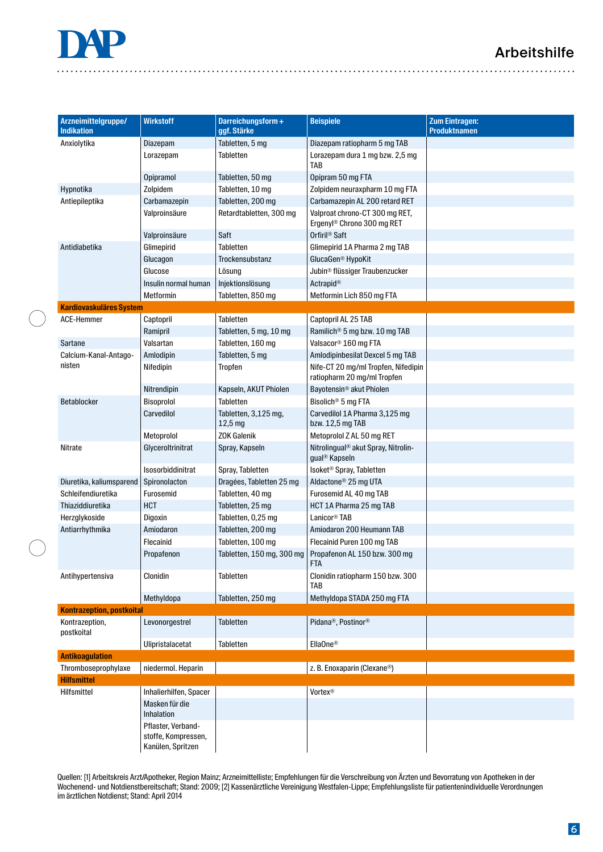### Arbeitshilfe



| Arzneimittelgruppe/<br><b>Indikation</b> | <b>Wirkstoff</b><br>Darreichungsform+<br><b>Beispiele</b><br>ggf. Stärke |                                 | <b>Zum Eintragen:</b><br><b>Produktnamen</b>                                 |  |
|------------------------------------------|--------------------------------------------------------------------------|---------------------------------|------------------------------------------------------------------------------|--|
| Anxiolytika                              | Diazepam                                                                 | Tabletten, 5 mg                 | Diazepam ratiopharm 5 mg TAB                                                 |  |
|                                          | Lorazepam                                                                | <b>Tabletten</b>                | Lorazepam dura 1 mg bzw. 2,5 mg<br>TAB                                       |  |
|                                          | Opipramol                                                                | Tabletten, 50 mg                | Opipram 50 mg FTA                                                            |  |
| Hypnotika                                | Zolpidem                                                                 | Tabletten, 10 mg                | Zolpidem neuraxpharm 10 mg FTA                                               |  |
| Antiepileptika                           | Carbamazepin                                                             | Tabletten, 200 mg               | Carbamazepin AL 200 retard RET                                               |  |
|                                          | Valproinsäure                                                            | Retardtabletten, 300 mg         | Valproat chrono-CT 300 mg RET,<br>Ergenyl <sup>®</sup> Chrono 300 mg RET     |  |
|                                          | Valproinsäure                                                            | Saft                            | Orfiril <sup>®</sup> Saft                                                    |  |
| Antidiabetika                            | Glimepirid                                                               | <b>Tabletten</b>                | Glimepirid 1A Pharma 2 mg TAB                                                |  |
|                                          | Glucagon                                                                 | Trockensubstanz                 | GlucaGen <sup>®</sup> HypoKit                                                |  |
|                                          | Glucose                                                                  | Lösung                          | Jubin <sup>®</sup> flüssiger Traubenzucker                                   |  |
|                                          | Insulin normal human                                                     | Injektionslösung                | Actrapid®                                                                    |  |
|                                          | Metformin                                                                | Tabletten, 850 mg               | Metformin Lich 850 mg FTA                                                    |  |
| <b>Kardiovaskuläres System</b>           |                                                                          |                                 |                                                                              |  |
| ACE-Hemmer                               | Captopril                                                                | Tabletten                       | Captopril AL 25 TAB                                                          |  |
|                                          | Ramipril                                                                 | Tabletten, 5 mg, 10 mg          | Ramilich <sup>®</sup> 5 mg bzw. 10 mg TAB                                    |  |
| Sartane                                  | Valsartan                                                                | Tabletten, 160 mg               | Valsacor <sup>®</sup> 160 mg FTA                                             |  |
| Calcium-Kanal-Antago-                    | Amlodipin                                                                | Tabletten, 5 mg                 | Amlodipinbesilat Dexcel 5 mg TAB                                             |  |
| nisten                                   | Nifedipin                                                                | Tropfen                         | Nife-CT 20 mg/ml Tropfen, Nifedipin<br>ratiopharm 20 mg/ml Tropfen           |  |
|                                          | Nitrendipin                                                              | Kapseln, AKUT Phiolen           | Bayotensin <sup>®</sup> akut Phiolen                                         |  |
| Betablocker                              | Bisoprolol                                                               | <b>Tabletten</b>                | Bisolich <sup>®</sup> 5 mg FTA                                               |  |
|                                          | Carvedilol                                                               | Tabletten, 3,125 mg,<br>12,5 mg | Carvedilol 1A Pharma 3,125 mg<br>bzw. 12,5 mg TAB                            |  |
|                                          | Metoprolol                                                               | <b>ZOK Galenik</b>              | Metoprolol Z AL 50 mg RET                                                    |  |
| Nitrate                                  | Glyceroltrinitrat                                                        | Spray, Kapseln                  | Nitrolingual <sup>®</sup> akut Spray, Nitrolin-<br>gual <sup>®</sup> Kapseln |  |
|                                          | Isosorbiddinitrat                                                        | Spray, Tabletten                | Isoket <sup>®</sup> Spray, Tabletten                                         |  |
| Diuretika, kaliumsparend                 | Spironolacton                                                            | Dragées, Tabletten 25 mg        | Aldactone <sup>®</sup> 25 mg UTA                                             |  |
| Schleifendiuretika                       | Furosemid                                                                | Tabletten, 40 mg                | Furosemid AL 40 mg TAB                                                       |  |
| Thiaziddiuretika                         | <b>HCT</b>                                                               | Tabletten, 25 mg                | HCT 1A Pharma 25 mg TAB                                                      |  |
| Herzglykoside                            | Digoxin                                                                  | Tabletten, 0,25 mg              | Lanicor <sup>®</sup> TAB                                                     |  |
| Antiarrhythmika                          | Amiodaron                                                                | Tabletten, 200 mg               | Amiodaron 200 Heumann TAB                                                    |  |
|                                          | Flecainid                                                                | Tabletten, 100 mg               | Flecainid Puren 100 mg TAB                                                   |  |
|                                          | Propafenon                                                               | Tabletten, 150 mg, 300 mg       | Propafenon AL 150 bzw. 300 mg<br><b>FTA</b>                                  |  |
| Antihypertensiva                         | Clonidin                                                                 | Tabletten                       | Clonidin ratiopharm 150 bzw. 300<br>TAB                                      |  |
|                                          | Methyldopa                                                               | Tabletten, 250 mg               | Methyldopa STADA 250 mg FTA                                                  |  |
| <b>Kontrazeption, postkoital</b>         |                                                                          |                                 |                                                                              |  |
| Kontrazeption,<br>postkoital             | Levonorgestrel                                                           | Tabletten                       | Pidana®, Postinor®                                                           |  |
|                                          | Ulipristalacetat                                                         | Tabletten                       | EllaOne <sup>®</sup>                                                         |  |
| <b>Antikoagulation</b>                   |                                                                          |                                 |                                                                              |  |
| Thromboseprophylaxe                      | niedermol. Heparin                                                       |                                 | z. B. Enoxaparin (Clexane®)                                                  |  |
| <b>Hilfsmittel</b>                       |                                                                          |                                 |                                                                              |  |
| Hilfsmittel                              | Inhalierhilfen, Spacer                                                   |                                 | Vortex <sup>®</sup>                                                          |  |
|                                          | Masken für die<br>Inhalation                                             |                                 |                                                                              |  |
|                                          | Pflaster, Verband-<br>stoffe, Kompressen,<br>Kanülen, Spritzen           |                                 |                                                                              |  |

Quellen: [1] Arbeitskreis Arzt/Apotheker, Region Mainz; Arzneimittelliste; Empfehlungen für die Verschreibung von Ärzten und Bevorratung von Apotheken in der Wochenend- und Notdienstbereitschaft; Stand: 2009; [2] Kassenärztliche Vereinigung Westfalen-Lippe; Empfehlungsliste für patientenindividuelle Verordnungen im ärztlichen Notdienst; Stand: April 2014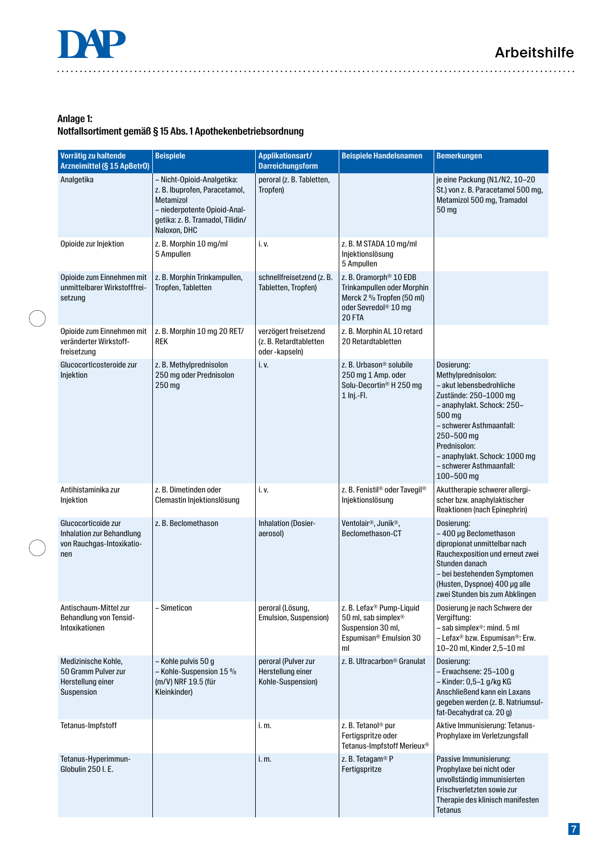### **Anlage 1:**

#### **Notfallsortiment gemäß § 15 Abs. 1 Apothekenbetriebsordnung**

| Vorrätig zu haltende<br>Arzneimittel (§ 15 ApBetr0)                                  | <b>Beispiele</b>                                                                                                                                             | Applikationsart/<br><b>Darreichungsform</b>                      | <b>Beispiele Handelsnamen</b>                                                                                                               | <b>Bemerkungen</b>                                                                                                                                                                                                                                                 |
|--------------------------------------------------------------------------------------|--------------------------------------------------------------------------------------------------------------------------------------------------------------|------------------------------------------------------------------|---------------------------------------------------------------------------------------------------------------------------------------------|--------------------------------------------------------------------------------------------------------------------------------------------------------------------------------------------------------------------------------------------------------------------|
| Analgetika                                                                           | - Nicht-Opioid-Analgetika:<br>z. B. Ibuprofen, Paracetamol,<br>Metamizol<br>- niederpotente Opioid-Anal-<br>getika: z. B. Tramadol, Tilidin/<br>Naloxon, DHC | peroral (z. B. Tabletten,<br>Tropfen)                            |                                                                                                                                             | je eine Packung (N1/N2, 10-20<br>St.) von z. B. Paracetamol 500 mg,<br>Metamizol 500 mg, Tramadol<br>50 mg                                                                                                                                                         |
| Opioide zur Injektion                                                                | z. B. Morphin 10 mg/ml<br>5 Ampullen                                                                                                                         | i. v.                                                            | z. B. M STADA 10 mg/ml<br>Injektionslösung<br>5 Ampullen                                                                                    |                                                                                                                                                                                                                                                                    |
| Opioide zum Einnehmen mit<br>unmittelbarer Wirkstofffrei-<br>setzung                 | z. B. Morphin Trinkampullen,<br>Tropfen, Tabletten                                                                                                           | schnellfreisetzend (z. B.<br>Tabletten, Tropfen)                 | z. B. Oramorph <sup>®</sup> 10 EDB<br>Trinkampullen oder Morphin<br>Merck 2 % Tropfen (50 ml)<br>oder Sevredol <sup>®</sup> 10 mg<br>20 FTA |                                                                                                                                                                                                                                                                    |
| Opioide zum Einnehmen mit<br>veränderter Wirkstoff-<br>freisetzung                   | z. B. Morphin 10 mg 20 RET/<br><b>REK</b>                                                                                                                    | verzögert freisetzend<br>(z. B. Retardtabletten<br>oder-kapseln) | z. B. Morphin AL 10 retard<br>20 Retardtabletten                                                                                            |                                                                                                                                                                                                                                                                    |
| Glucocorticosteroide zur<br>Injektion                                                | z. B. Methylprednisolon<br>250 mg oder Prednisolon<br>250 mg                                                                                                 | i. v.                                                            | z. B. Urbason <sup>®</sup> solubile<br>250 mg 1 Amp. oder<br>Solu-Decortin® H 250 mg<br>1 Inj.-Fl.                                          | Dosierung:<br>Methylprednisolon:<br>- akut lebensbedrohliche<br>Zustände: 250-1000 mg<br>- anaphylakt. Schock: 250-<br>500 mg<br>- schwerer Asthmaanfall:<br>250-500 mg<br>Prednisolon:<br>- anaphylakt. Schock: 1000 mg<br>- schwerer Asthmaanfall:<br>100-500 mg |
| Antihistaminika zur<br>Injektion                                                     | z. B. Dimetinden oder<br>Clemastin Injektionslösung                                                                                                          | i. v.                                                            | z. B. Fenistil® oder Tavegil®<br>Injektionslösung                                                                                           | Akuttherapie schwerer allergi-<br>scher bzw. anaphylaktischer<br>Reaktionen (nach Epinephrin)                                                                                                                                                                      |
| Glucocorticoide zur<br>Inhalation zur Behandlung<br>von Rauchgas-Intoxikatio-<br>nen | z. B. Beclomethason                                                                                                                                          | <b>Inhalation (Dosier-</b><br>aerosol)                           | Ventolair <sup>®</sup> , Junik <sup>®</sup> ,<br>Beclomethason-CT                                                                           | Dosierung:<br>-400 µg Beclomethason<br>dipropionat unmittelbar nach<br>Rauchexposition und erneut zwei<br>Stunden danach<br>- bei bestehenden Symptomen<br>(Husten, Dyspnoe) 400 µg alle<br>zwei Stunden bis zum Abklingen                                         |
| Antischaum-Mittel zur<br>Behandlung von Tensid-<br>Intoxikationen                    | - Simeticon                                                                                                                                                  | peroral (Lösung,<br>Emulsion, Suspension)                        | z. B. Lefax® Pump-Liquid<br>50 ml, sab simplex <sup>®</sup><br>Suspension 30 ml,<br>Espumisan <sup>®</sup> Emulsion 30<br>ml                | Dosierung je nach Schwere der<br>Vergiftung:<br>- sab simplex <sup>®</sup> : mind. 5 ml<br>- Lefax® bzw. Espumisan®: Erw.<br>10-20 ml, Kinder 2,5-10 ml                                                                                                            |
| Medizinische Kohle,<br>50 Gramm Pulver zur<br>Herstellung einer<br>Suspension        | - Kohle pulvis 50 g<br>- Kohle-Suspension 15 %<br>(m/V) NRF 19.5 (für<br>Kleinkinder)                                                                        | peroral (Pulver zur<br>Herstellung einer<br>Kohle-Suspension)    | z. B. Ultracarbon <sup>®</sup> Granulat                                                                                                     | Dosierung:<br>- Erwachsene: 25-100 g<br>- Kinder: 0,5-1 g/kg KG<br>Anschließend kann ein Laxans<br>gegeben werden (z. B. Natriumsul-<br>fat-Decahydrat ca. 20 g)                                                                                                   |
| Tetanus-Impfstoff                                                                    |                                                                                                                                                              | i. m.                                                            | z. B. Tetanol <sup>®</sup> pur<br>Fertigspritze oder<br>Tetanus-Impfstoff Merieux®                                                          | Aktive Immunisierung: Tetanus-<br>Prophylaxe im Verletzungsfall                                                                                                                                                                                                    |
| Tetanus-Hyperimmun-<br>Globulin 250 I.E.                                             |                                                                                                                                                              | i. m.                                                            | z. B. Tetagam® P<br>Fertigspritze                                                                                                           | Passive Immunisierung:<br>Prophylaxe bei nicht oder<br>unvollständig immunisierten<br>Frischverletzten sowie zur<br>Therapie des klinisch manifesten<br><b>Tetanus</b>                                                                                             |